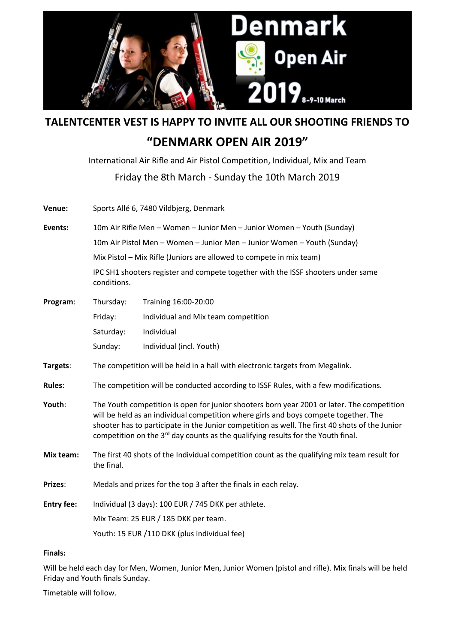

**TALENTCENTER VEST IS HAPPY TO INVITE ALL OUR SHOOTING FRIENDS TO**

# **"DENMARK OPEN AIR 2019"**

International Air Rifle and Air Pistol Competition, Individual, Mix and Team Friday the 8th March ‐ Sunday the 10th March 2019

| Venue:            | Sports Allé 6, 7480 Vildbjerg, Denmark                                                                                                                                                                                                                                                                                                                                               |                                     |
|-------------------|--------------------------------------------------------------------------------------------------------------------------------------------------------------------------------------------------------------------------------------------------------------------------------------------------------------------------------------------------------------------------------------|-------------------------------------|
| Events:           | 10m Air Rifle Men - Women - Junior Men - Junior Women - Youth (Sunday)                                                                                                                                                                                                                                                                                                               |                                     |
|                   | 10m Air Pistol Men - Women - Junior Men - Junior Women - Youth (Sunday)                                                                                                                                                                                                                                                                                                              |                                     |
|                   | Mix Pistol - Mix Rifle (Juniors are allowed to compete in mix team)                                                                                                                                                                                                                                                                                                                  |                                     |
|                   | IPC SH1 shooters register and compete together with the ISSF shooters under same<br>conditions.                                                                                                                                                                                                                                                                                      |                                     |
| Program:          | Thursday:                                                                                                                                                                                                                                                                                                                                                                            | Training 16:00-20:00                |
|                   | Friday:                                                                                                                                                                                                                                                                                                                                                                              | Individual and Mix team competition |
|                   | Saturday:                                                                                                                                                                                                                                                                                                                                                                            | Individual                          |
|                   | Sunday:                                                                                                                                                                                                                                                                                                                                                                              | Individual (incl. Youth)            |
| Targets:          | The competition will be held in a hall with electronic targets from Megalink.                                                                                                                                                                                                                                                                                                        |                                     |
| <b>Rules:</b>     | The competition will be conducted according to ISSF Rules, with a few modifications.                                                                                                                                                                                                                                                                                                 |                                     |
| Youth:            | The Youth competition is open for junior shooters born year 2001 or later. The competition<br>will be held as an individual competition where girls and boys compete together. The<br>shooter has to participate in the Junior competition as well. The first 40 shots of the Junior<br>competition on the 3 <sup>rd</sup> day counts as the qualifying results for the Youth final. |                                     |
| Mix team:         | The first 40 shots of the Individual competition count as the qualifying mix team result for<br>the final.                                                                                                                                                                                                                                                                           |                                     |
| Prizes:           | Medals and prizes for the top 3 after the finals in each relay.                                                                                                                                                                                                                                                                                                                      |                                     |
| <b>Entry fee:</b> | Individual (3 days): 100 EUR / 745 DKK per athlete.                                                                                                                                                                                                                                                                                                                                  |                                     |
|                   | Mix Team: 25 EUR / 185 DKK per team.                                                                                                                                                                                                                                                                                                                                                 |                                     |
|                   | Youth: 15 EUR /110 DKK (plus individual fee)                                                                                                                                                                                                                                                                                                                                         |                                     |

## **Finals:**

Will be held each day for Men, Women, Junior Men, Junior Women (pistol and rifle). Mix finals will be held Friday and Youth finals Sunday.

Timetable will follow.